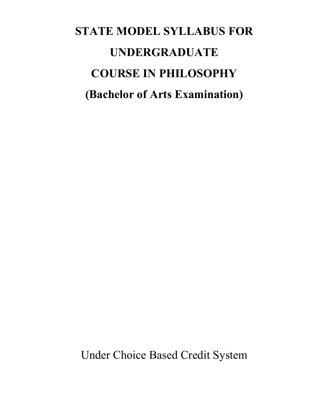# **STATE MODEL SYLLABUS FOR UNDERGRADUATE COURSE IN PHILOSOPHY (Bachelor of Arts Examination)**

Under Choice Based Credit System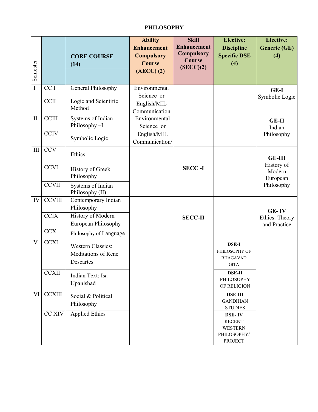# **PHILOSOPHY**

| Semester     |                 | <b>CORE COURSE</b><br>(14)                                          | <b>Ability</b><br><b>Enhancement</b><br><b>Compulsory</b><br><b>Course</b><br>$(AECC)$ $(2)$ | <b>Skill</b><br><b>Enhancement</b><br><b>Compulsory</b><br><b>Course</b><br>(SECC)(2) | <b>Elective:</b><br><b>Discipline</b><br><b>Specific DSE</b><br>(4)               | <b>Elective:</b><br><b>Generic (GE)</b><br>(4) |
|--------------|-----------------|---------------------------------------------------------------------|----------------------------------------------------------------------------------------------|---------------------------------------------------------------------------------------|-----------------------------------------------------------------------------------|------------------------------------------------|
| $\rm I$      | CC <sub>I</sub> | General Philosophy                                                  | Environmental<br>Science or                                                                  |                                                                                       |                                                                                   | GE-I<br>Symbolic Logic                         |
|              | <b>CCII</b>     | Logic and Scientific<br>Method                                      | English/MIL<br>Communication                                                                 |                                                                                       |                                                                                   |                                                |
| $\mathbf{I}$ | <b>CCIII</b>    | Systems of Indian<br>Philosophy-I                                   | Environmental<br>Science or<br>English/MIL<br>Communication/                                 |                                                                                       |                                                                                   | <b>GE-II</b><br>Indian                         |
|              | <b>CCIV</b>     | Symbolic Logic                                                      |                                                                                              |                                                                                       |                                                                                   | Philosophy                                     |
| $\rm III$    | <b>CCV</b>      | Ethics                                                              |                                                                                              |                                                                                       |                                                                                   | <b>GE-III</b>                                  |
|              | <b>CCVI</b>     | History of Greek<br>Philosophy                                      |                                                                                              | <b>SECC-I</b>                                                                         |                                                                                   | History of<br>Modern<br>European               |
|              | <b>CCVII</b>    | Systems of Indian<br>Philosophy (II)                                |                                                                                              |                                                                                       |                                                                                   | Philosophy                                     |
| IV           | <b>CCVIII</b>   | Contemporary Indian<br>Philosophy                                   |                                                                                              |                                                                                       |                                                                                   | <b>GE-IV</b>                                   |
|              | <b>CCIX</b>     | History of Modern<br>European Philosophy                            |                                                                                              | <b>SECC-II</b>                                                                        |                                                                                   | Ethics: Theory<br>and Practice                 |
|              | <b>CCX</b>      | Philosophy of Language                                              |                                                                                              |                                                                                       |                                                                                   |                                                |
| V            | <b>CCXI</b>     | <b>Western Classics:</b><br><b>Meditations of Rene</b><br>Descartes |                                                                                              |                                                                                       | <b>DSE-I</b><br>PHILOSOPHY OF<br><b>BHAGAVAD</b><br><b>GITA</b>                   |                                                |
|              | <b>CCXII</b>    | Indian Text: Isa<br>Upanishad                                       |                                                                                              |                                                                                       | <b>DSE-II</b><br>PHILOSOPHY<br>OF RELIGION                                        |                                                |
| VI           | <b>CCXIII</b>   | Social & Political<br>Philosophy                                    |                                                                                              |                                                                                       | <b>DSE-III</b><br><b>GANDHIAN</b><br><b>STUDIES</b>                               |                                                |
|              | CC XIV          | <b>Applied Ethics</b>                                               |                                                                                              |                                                                                       | <b>DSE-IV</b><br><b>RECENT</b><br><b>WESTERN</b><br>PHILOSOPHY/<br><b>PROJECT</b> |                                                |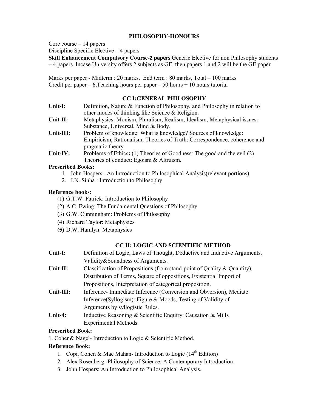## **PHILOSOPHY-HONOURS**

Core course – 14 papers

Discipline Specific Elective – 4 papers

**Skill Enhancement Compulsory Course-2 papers** Generic Elective for non Philosophy students – 4 papers. Incase University offers 2 subjects as GE, then papers 1 and 2 will be the GE paper.

Marks per paper - Midterm : 20 marks, End term : 80 marks, Total – 100 marks Credit per paper – 6, Teaching hours per paper – 50 hours + 10 hours tutorial

# **CC I:GENERAL PHILOSOPHY**

| Unit-I:      | Definition, Nature $\&$ Function of Philosophy, and Philosophy in relation to<br>other modes of thinking like Science $&$ Religion. |
|--------------|-------------------------------------------------------------------------------------------------------------------------------------|
| Unit- $II$ : | Metaphysics: Monism, Pluralism, Realism, Idealism, Metaphysical issues:                                                             |
|              | Substance, Universal, Mind & Body.                                                                                                  |
| $Unit-III:$  | Problem of knowledge: What is knowledge? Sources of knowledge:                                                                      |
|              | Empiricism, Rationalism, Theories of Truth: Correspondence, coherence and                                                           |
|              | pragmatic theory                                                                                                                    |
| Unit-IV:     | Problems of Ethics: (1) Theories of Goodness: The good and the evil (2)                                                             |
|              | Theories of conduct: Egoism $&$ Altruism.                                                                                           |

#### **Prescribed Books:**

- 1. John Hospers: An Introduction to Philosophical Analysis(relevant portions)
- 2. J.N. Sinha : Introduction to Philosophy

# **Reference books:**

- (1) G.T.W. Patrick: Introduction to Philosophy
- (2) A.C. Ewing: The Fundamental Questions of Philosophy
- (3) G.W. Cunningham: Problems of Philosophy
- (4) Richard Taylor: Metaphysics
- **(5)** D.W. Hamlyn: Metaphysics

# **CC II: LOGIC AND SCIENTIFIC METHOD**

| Unit-I:   | Definition of Logic, Laws of Thought, Deductive and Inductive Arguments,    |  |  |
|-----------|-----------------------------------------------------------------------------|--|--|
|           | Validity&Soundness of Arguments.                                            |  |  |
| Unit-II:  | Classification of Propositions (from stand-point of Quality $\&$ Quantity), |  |  |
|           | Distribution of Terms, Square of oppositions, Existential Import of         |  |  |
|           | Propositions, Interpretation of categorical proposition.                    |  |  |
| Unit-III: | Inference-Immediate Inference (Conversion and Obversion), Mediate           |  |  |
|           | Inference (Syllogism): Figure & Moods, Testing of Validity of               |  |  |
|           | Arguments by syllogistic Rules.                                             |  |  |
| Unit-4:   | Inductive Reasoning & Scientific Enquiry: Causation & Mills                 |  |  |
|           | Experimental Methods.                                                       |  |  |

# **Prescribed Book:**

1. Cohen& Nagel- Introduction to Logic & Scientific Method.

# **Reference Book:**

- 1. Copi, Cohen & Mac Mahan- Introduction to Logic ( $14<sup>th</sup>$  Edition)
- 2. Alex Rosenberg- Philosophy of Science: A Contemporary Introduction
- 3. John Hospers: An Introduction to Philosophical Analysis.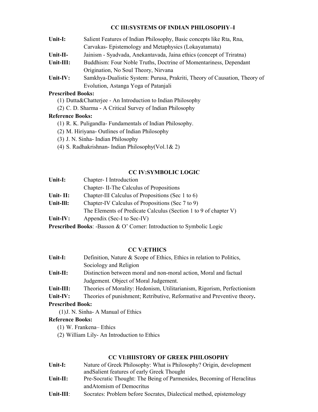# **CC III:SYSTEMS OF INDIAN PHILOSOPHY–I**

| Unit-I:   | Salient Features of Indian Philosophy, Basic concepts like Rta, Rna,       |  |  |
|-----------|----------------------------------------------------------------------------|--|--|
|           | Carvakas-Epistemology and Metaphysics (Lokayatamata)                       |  |  |
| Unit-II-  | Jainism - Syadvada, Anekantavada, Jaina ethics (concept of Triratna)       |  |  |
| Unit-III: | Buddhism: Four Noble Truths, Doctrine of Momentariness, Dependant          |  |  |
|           | Origination, No Soul Theory, Nirvana                                       |  |  |
| Unit-IV:  | Samkhya-Dualistic System: Purusa, Prakriti, Theory of Causation, Theory of |  |  |
|           | Evolution, Astanga Yoga of Patanjali                                       |  |  |

# **Prescribed Books:**

- (1) Dutta&Chatterjee An Introduction to Indian Philosophy
- (2) C. D. Sharma A Critical Survey of Indian Philosophy

# **Reference Books:**

- (1) R. K. Puligandla- Fundamentals of Indian Philosophy.
- (2) M. Hiriyana- Outlines of Indian Philosophy
- (3) J. N. Sinha- Indian Philosophy
- (4) S. Radhakrishnan- Indian Philosophy(Vol.1& 2)

# **CC IV:SYMBOLIC LOGIC**

| Unit-I:   | Chapter- I Introduction                                                                                                                                                                                                                                                                                                     |  |  |
|-----------|-----------------------------------------------------------------------------------------------------------------------------------------------------------------------------------------------------------------------------------------------------------------------------------------------------------------------------|--|--|
|           | Chapter - II-The Calculus of Propositions                                                                                                                                                                                                                                                                                   |  |  |
| Unit-II:  | Chapter-III Calculus of Propositions (Sec 1 to 6)                                                                                                                                                                                                                                                                           |  |  |
| Unit-Ill: | Chapter-IV Calculus of Propositions (Sec 7 to 9)                                                                                                                                                                                                                                                                            |  |  |
|           | The Elements of Predicate Calculus (Section 1 to 9 of chapter V)                                                                                                                                                                                                                                                            |  |  |
| Unit-IV:  | Appendix (Sec-I to Sec-IV)                                                                                                                                                                                                                                                                                                  |  |  |
|           | $\mathbf{n}$ . The $\mathbf{n}$ and $\mathbf{n}$ and $\mathbf{n}$ and $\mathbf{n}$ and $\mathbf{n}$ and $\mathbf{n}$ and $\mathbf{n}$ and $\mathbf{n}$ and $\mathbf{n}$ and $\mathbf{n}$ and $\mathbf{n}$ and $\mathbf{n}$ and $\mathbf{n}$ and $\mathbf{n}$ and $\mathbf{n}$ and $\mathbf{n}$ and $\mathbf{n}$ and $\math$ |  |  |

**Prescribed Books**: -Basson & O' Corner: Introduction to Symbolic Logic

# **CC V:ETHICS**

| Unit-I:   | Definition, Nature & Scope of Ethics, Ethics in relation to Politics,   |  |
|-----------|-------------------------------------------------------------------------|--|
|           | Sociology and Religion                                                  |  |
| Unit-II:  | Distinction between moral and non-moral action, Moral and factual       |  |
|           | Judgement. Object of Moral Judgement.                                   |  |
| Unit-III: | Theories of Morality: Hedonism, Utilitarianism, Rigorism, Perfectionism |  |

**Unit-IV:** Theories of punishment; Retributive, Reformative and Preventive theory**.** 

# **Prescribed Book:**

(1)J. N. Sinha- A Manual of Ethics

# **Reference Books:**

- (1) W. Frankena– Ethics
- (2) William Lily- An Introduction to Ethics

# **CC VI:HIISTORY OF GREEK PHILOSOPHY**

| Unit-I:     | Nature of Greek Philosophy: What is Philosophy? Origin, development   |  |
|-------------|-----------------------------------------------------------------------|--|
|             | and Salient features of early Greek Thought                           |  |
| Unit- $II:$ | Pre-Socratic Thought: The Being of Parmenides, Becoming of Heraclitus |  |
|             | and Atomism of Democritus                                             |  |
| Unit-III:   | Socrates: Problem before Socrates, Dialectical method, epistemology   |  |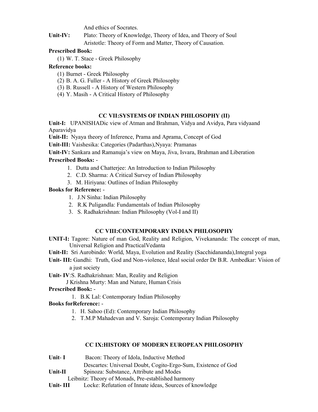And ethics of Socrates.

**Unit-IV:** Plato: Theory of Knowledge, Theory of Idea, and Theory of Soul Aristotle: Theory of Form and Matter, Theory of Causation.

# **Prescribed Book:**

(1) W. T. Stace - Greek Philosophy

# **Reference books:**

- (1) Burnet Greek Philosophy
- (2) B. A. G. Fuller A History of Greek Philosophy
- (3) B. Russell A History of Western Philosophy
- (4) Y. Masih A Critical History of Philosophy

## **CC VII:SYSTEMS OF INDIAN PHILOSOPHY (II)**

**Unit-I:** UPANISHADic view of Atman and Brahman, Vidya and Avidya, Para vidyaand Aparavidya

**Unit-II:** Nyaya theory of Inference, Prama and Aprama, Concept of God

**Unit-III:** Vaishesika: Categories (Padarthas),Nyaya: Pramanas

**Unit-IV:** Sankara and Ramanuja's view on Maya, Jiva, Isvara, Brahman and Liberation

## **Prescribed Books:** -

- 1. Dutta and Chatterjee: An Introduction to Indian Philosophy
- 2. C.D. Sharma: A Critical Survey of Indian Philosophy
- 3. M. Hiriyana: Outlines of Indian Philosophy

## **Books for Reference:** -

- 1. J.N Sinha: Indian Philosophy
- 2. R.K Puligandla: Fundamentals of Indian Philosophy
- 3. S. Radhakrishnan: Indian Philosophy (Vol-I and II)

# **CC VIII:CONTEMPORARY INDIAN PHILOSOPHY**

**UNIT-I:** Tagore: Nature of man God, Reality and Religion, Vivekananda: The concept of man, Universal Religion and PracticalVedanta

**Unit-II:** Sri Aurobindo: World, Maya, Evolution and Reality (Sacchidananda),Integral yoga

**Unit- III:** Gandhi: Truth, God and Non-violence, Ideal social order Dr B.R. Ambedkar: Vision of a just society

#### **Unit- IV**:S. Radhakrishnan: Man, Reality and Religion

J Krishna Murty: Man and Nature, Human Crisis

## **Prescribed Book:** -

1. B.K Lal: Contemporary Indian Philosophy

# **Books forReference:** -

- 1. H. Sahoo (Ed): Contemporary Indian Philosophy
- 2. T.M.P Mahadevan and V. Saroja: Contemporary Indian Philosophy

#### **CC IX:HISTORY OF MODERN EUROPEAN PHILOSOPHY**

| Unit- I  | Bacon: Theory of Idola, Inductive Method                      |  |  |
|----------|---------------------------------------------------------------|--|--|
|          | Descartes: Universal Doubt, Cogito-Ergo-Sum, Existence of God |  |  |
| Unit-II  | Spinoza: Substance, Attribute and Modes                       |  |  |
|          | Leibnitz: Theory of Monads, Pre-established harmony           |  |  |
| Unit-III | Locke: Refutation of Innate ideas, Sources of knowledge       |  |  |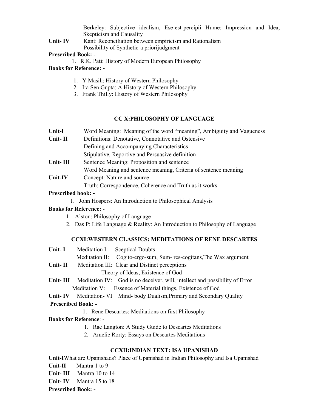Berkeley: Subjective idealism, Ese-est-percipii Hume: Impression and Idea, Skepticism and Causality

Unit- IV Kant: Reconciliation between empiricism and Rationalism Possibility of Synthetic-a priorijudgment

#### **Prescribed Book: -**

1. R.K. Pati: History of Modern European Philosophy

# **Books for Reference: -**

- 1. Y Masih: History of Western Philosophy
- 2. Ira Sen Gupta: A History of Western Philosophy
- 3. Frank Thilly: History of Western Philosophy

# **CC X:PHILOSOPHY OF LANGUAGE**

- **Unit-I** Word Meaning: Meaning of the word "meaning", Ambiguity and Vagueness
- **Unit- II** Definitions: Denotative, Connotative and Ostensive
	- Defining and Accompanying Characteristics
	- Stipulative, Reportive and Persuasive definition
- Unit- III Sentence Meaning: Proposition and sentence
- Word Meaning and sentence meaning, Criteria of sentence meaning
- Unit-IV Concept: Nature and source

Truth: Correspondence, Coherence and Truth as it works

# **Prescribed book: -**

1. John Hospers: An Introduction to Philosophical Analysis

# **Books for Reference:** -

- 1. Alston: Philosophy of Language
- 2. Das P: Life Language & Reality: An Introduction to Philosophy of Language

# **CCXI:WESTERN CLASSICS: MEDITATIONS OF RENE DESCARTES**

- **Unit- I** Meditation I: Sceptical Doubts Meditation II: Cogito-ergo-sum, Sum- res-cogitans,The Wax argument **Unit- II** Meditation III: Clear and Distinct perceptions Theory of Ideas, Existence of God
- Unit-III Meditation IV: God is no deceiver, will, intellect and possibility of Error Meditation V: Essence of Material things, Existence of God
- **Unit- IV** Meditation- VI Mind- body Dualism,Primary and Secondary Quality  **Prescribed Book: -** 
	- 1. Rene Descartes: Meditations on first Philosophy

# **Books for Reference**: -

- 1. Rae Langton: A Study Guide to Descartes Meditations
- 2. Amelie Rorty: Essays on Descartes Meditations

# **CCXII:INDIAN TEXT: ISA UPANISHAD**

**Unit-I**What are Upanishads? Place of Upanishad in Indian Philosophy and Isa Upanishad **Unit-II** Mantra 1 to 9 **Unit- III** Mantra 10 to 14 **Unit- IV** Mantra 15 to 18

**Prescribed Book: -**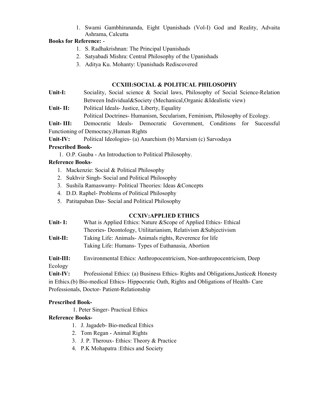1. Swami Gambhirananda, Eight Upanishads (Vol-I) God and Reality, Advaita Ashrama, Calcutta

# **Books for Reference:** -

- 1. S. Radhakrishnan: The Principal Upanishads
- 2. Satyabadi Mishra: Central Philosophy of the Upanishads
- 3. Aditya Ku. Mohanty: Upanishads Rediscovered

# **CCXIII:SOCIAL & POLITICAL PHILOSOPHY**

Unit-I: Sociality, Social science & Social laws, Philosophy of Social Science-Relation Between Individual&Society (Mechanical,Organic &Idealistic view)

**Unit- II:** Political Ideals- Justice, Liberty, Equality

Political Doctrines- Humanism, Secularism, Feminism, Philosophy of Ecology.

**Unit- III:** Democratic Ideals- Democratic Government, Conditions for Successful Functioning of Democracy,Human Rights

**Unit-IV:** Political Ideologies- (a) Anarchism (b) Marxism (c) Sarvodaya

# **Prescribed Book-**

1. O.P. Gauba - An Introduction to Political Philosophy.

# **Reference Books**-

- 1. Mackenzie: Social & Political Philosophy
- 2. Sukhvir Singh- Social and Political Philosophy
- 3. Sushila Ramaswamy- Political Theories: Ideas &Concepts
- 4. D.D. Raphel- Problems of Political Philosophy
- 5. Patitapaban Das- Social and Political Philosophy

# **CCXIV:APPLIED ETHICS**

**Unit- I:** What is Applied Ethics: Nature &Scope of Applied Ethics- Ethical Theories- Deontology, Utilitarianism, Relativism &Subjectivism **Unit-II:** Taking Life: Animals- Animals rights, Reverence for life Taking Life: Humans- Types of Euthanasia, Abortion

**Unit-III:** Environmental Ethics: Anthropocentricism, Non-anthropocentricism, Deep Ecology

Unit-IV: Professional Ethics: (a) Business Ethics-Rights and Obligations, Justice & Honesty in Ethics.(b) Bio-medical Ethics- Hippocratic Oath, Rights and Obligations of Health- Care Professionals, Doctor- Patient-Relationship

# **Prescribed Book-**

1. Peter Singer- Practical Ethics

# **Reference Books-**

- 1. J. Jagadeb- Bio-medical Ethics
- 2. Tom Regan Animal Rights
- 3. J. P. Theroux- Ethics: Theory & Practice
- 4. P.K Mohapatra :Ethics and Society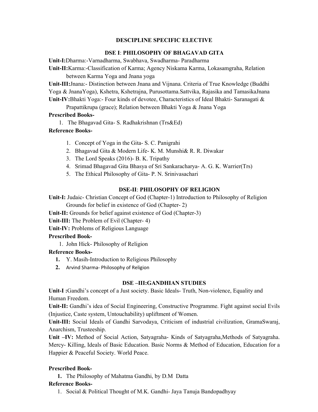# **DESCIPLINE SPECIFIC ELECTIVE**

# **DSE I**: **PHILOSOPHY OF BHAGAVAD GITA**

**Unit-I:**Dharma:-Varnadharma, Swabhava, Swadharma- Paradharma

**Unit-II:**Karma:-Classification of Karma; Agency Niskama Karma, Lokasamgraha, Relation between Karma Yoga and Jnana yoga

**Unit-III:**Jnana:- Distinction between Jnana and Vijnana. Criteria of True Knowledge (Buddhi Yoga & JnanaYoga), Kshetra, Kshetrajna, Purusottama.Sattvika, Rajasika and TamasikaJnana **Unit-IV:**Bhakti Yoga:- Four kinds of devotee, Characteristics of Ideal Bhakti- Saranagati &

Prapattikrupa (grace); Relation between Bhakti Yoga & Jnana Yoga

# **Prescribed Books-**

1. The Bhagavad Gita- S. Radhakrishnan (Trs&Ed)

# **Reference Books-**

- 1. Concept of Yoga in the Gita- S. C. Panigrahi
- 2. Bhagavad Gita & Modern Life- K. M. Munshi& R. R. Diwakar
- 3. The Lord Speaks (2016)- B. K. Tripathy
- 4. Srimad Bhagavad Gita Bhasya of Sri Sankaracharya- A. G. K. Warrier(Trs)
- 5. The Ethical Philosophy of Gita- P. N. Srinivasachari

# **DSE-II**: **PHILOSOPHY OF RELIGION**

**Unit-I:** Judaic- Christian Concept of God (Chapter-1) Introduction to Philosophy of Religion

Grounds for belief in existence of God (Chapter- 2)

**Unit-II:** Grounds for belief against existence of God (Chapter-3)

**Unit-III:** The Problem of Evil (Chapter- 4)

**Unit-IV:** Problems of Religious Language

# **Prescribed Book-**

1. John Hick- Philosophy of Religion

# **Reference Books-**

- **1.** Y. Masih-Introduction to Religious Philosophy
- **2.** Arvind Sharma- Philosophy of Religion

# **DSE –III:GANDHIAN STUDIES**

**Unit-I :**Gandhi's concept of a Just society. Basic Ideals- Truth, Non-violence, Equality and Human Freedom.

**Unit-II:** Gandhi's idea of Social Engineering, Constructive Programme. Fight against social Evils (Injustice, Caste system, Untouchability) upliftment of Women.

**Unit-III:** Social Ideals of Gandhi Sarvodaya, Criticism of industrial civilization, GramaSwaraj, Anarchism, Trusteeship.

**Unit –IV:** Method of Social Action, Satyagraha- Kinds of Satyagraha,Methods of Satyagraha. Mercy- Killing, Ideals of Basic Education. Basic Norms & Method of Education, Education for a Happier & Peaceful Society. World Peace.

# **Prescribed Book-**

**1.** The Philosophy of Mahatma Gandhi, by D.M Datta

# **Reference Books-**

1. Social & Political Thought of M.K. Gandhi- Jaya Tanuja Bandopadhyay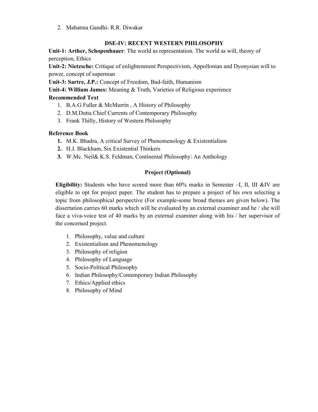2. Mahatma Gandhi- R.R. Diwakar

# **DSE-IV: RECENT WESTERN PHILOSOPHY**

**Unit-1: Arther, Schopenhauer**: The world as representation. The world as will, theory of perception, Ethics

**Unit-2: Nietzsche:** Critique of enlightenment Perspectivism, Appollonian and Dyonysian will to power, concept of superman

**Unit-3: Sartre, J.P.:** Concept of Freedom, Bad-faith, Humanism

**Unit-4: William James:** Meaning & Truth, Varieties of Religious experience

# **Recommended Text**

- 1. B.A.G Fuller & McMurrin , A History of Philosophy
- 2. D.M.Dutta Chief Currents of Contemporary Philosophy
- 3. Frank Thilly, History of Western Philosophy

# **Reference Book**

- **1.** M.K. Bhadra, A critical Survey of Phenomenology & Existentialism
- **2.** H.J. Blackham, Six Existential Thinkers
- **3.** W.Mc. Neil& K.S. Feldman, Continental Philosophy: An Anthology

# **Project (Optional)**

**Eligibility:** Students who have scored more than 60% marks in Semester –I, II, III &IV are eligible to opt for project paper. The student has to prepare a project of his own selecting a topic from philosophical perspective (For example-some broad themes are given below). The dissertation carries 60 marks which will be evaluated by an external examiner and he / she will face a viva-voice test of 40 marks by an external examiner along with his / her supervisor of the concerned project.

- 1. Philosophy, value and culture
- 2. Existentialism and Phenomenology
- 3. Philosophy of religion
- 4. Philosophy of Language
- 5. Socio-Political Philosophy
- 6. Indian Philosophy/Contemporary Indian Philosophy
- 7. Ethics/Applied ethics
- 8. Philosophy of Mind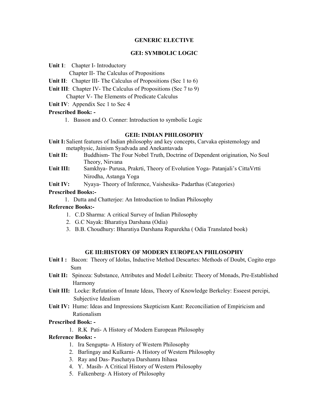#### **GENERIC ELECTIVE**

#### **GEI: SYMBOLIC LOGIC**

**Unit 1**: Chapter I- Introductory

Chapter II- The Calculus of Propositions

- **Unit II:** Chapter III- The Calculus of Propositions (Sec 1 to 6)
- **Unit III**: Chapter IV- The Calculus of Propositions (Sec 7 to 9) Chapter V- The Elements of Predicate Calculus
- **Unit IV**: Appendix Sec 1 to Sec 4

## **Prescribed Book: -**

1. Basson and O. Conner: Introduction to symbolic Logic

## **GEII: INDIAN PHILOSOPHY**

- **Unit I:** Salient features of Indian philosophy and key concepts, Carvaka epistemology and metaphysic, Jainism Syadvada and Anekantavada
- **Unit II:** Buddhism- The Four Nobel Truth, Doctrine of Dependent origination, No Soul Theory, Nirvana
- **Unit III:** Samkhya- Purusa, Prakrti, Theory of Evolution Yoga- Patanjali's CittaVrtti Nirodha, Astanga Yoga
- Unit IV: Nyaya- Theory of Inference, Vaishesika- Padarthas (Categories)

# **Prescribed Books:-**

1. Dutta and Chatterjee: An Introduction to Indian Philosophy

# **Reference Books:-**

- 1. C.D Sharma: A critical Survey of Indian Philosophy
- 2. G.C Nayak: Bharatiya Darshana (Odia)
- 3. B.B. Choudhury: Bharatiya Darshana Ruparekha ( Odia Translated book)

# **GE III:HISTORY OF MODERN EUROPEAN PHILOSOPHY**

- **Unit I :** Bacon: Theory of Idolas, Inductive Method Descartes: Methods of Doubt, Cogito ergo Sum
- **Unit II:** Spinoza: Substance, Attributes and Model Leibnitz: Theory of Monads, Pre-Established Harmony
- **Unit III:** Locke: Refutation of Innate Ideas, Theory of Knowledge Berkeley: Esseest percipi, Subjective Idealism
- **Unit IV:** Hume: Ideas and Impressions Skepticism Kant: Reconciliation of Empiricism and Rationalism

# **Prescribed Book: -**

1. R.K Pati- A History of Modern European Philosophy

# **Reference Books: -**

- 1. Ira Sengupta- A History of Western Philosophy
- 2. Barlingay and Kulkarni- A History of Western Philosophy
- 3. Ray and Das- Paschatya Darshanra Itihasa
- 4. Y. Masih- A Critical History of Western Philosophy
- 5. Falkenberg- A History of Philosophy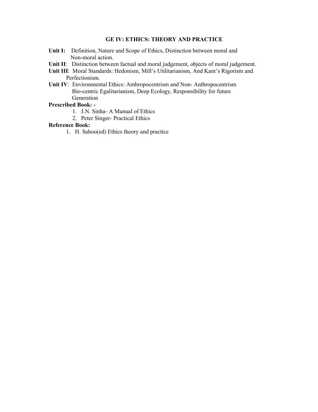#### **GE IV: ETHICS: THEORY AND PRACTICE**

- **Unit I:** Definition, Nature and Scope of Ethics, Distinction between moral and Non-moral action.
- **Unit II**: Distinction between factual and moral judgement, objects of moral judgement.
- **Unit III**: Moral Standards: Hedonism, Mill's Utilitarianism, And Kant's Rigorism and Perfectionism.
- **Unit IV**: Environmental Ethics: Anthropocentrism and Non- Anthropocentrism Bio-centric Egalitarianism, Deep Ecology, Responsibility for future Generation

#### **Prescribed Book: -**

- 1. J.N. Sinha- A Manual of Ethics
- 2. Peter Singer- Practical Ethics

#### **Reference Book:**

1. H. Sahoo(ed) Ethics theory and practice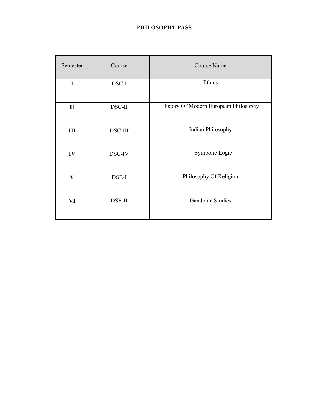# **PHILOSOPHY PASS**

| Semester     | Course  | Course Name                           |
|--------------|---------|---------------------------------------|
| $\mathbf I$  | DSC-I   | Ethics                                |
| $\mathbf{I}$ | DSC-II  | History Of Modern European Philosophy |
| III          | DSC-III | Indian Philosophy                     |
| IV           | DSC-IV  | Symbolic Logic                        |
| $\mathbf{V}$ | DSE-I   | Philosophy Of Religion                |
| VI           | DSE-II  | <b>Gandhian Studies</b>               |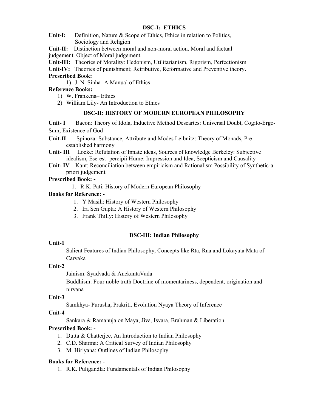# **DSC-I: ETHICS**

Unit-I: Definition, Nature & Scope of Ethics, Ethics in relation to Politics, Sociology and Religion

**Unit-II:** Distinction between moral and non-moral action, Moral and factual judgement. Object of Moral judgement.

**Unit-III:** Theories of Morality: Hedonism, Utilitarianism, Rigorism, Perfectionism

**Unit-IV:** Theories of punishment; Retributive, Reformative and Preventive theory**.** 

# **Prescribed Book:**

1) J. N. Sinha- A Manual of Ethics

# **Reference Books:**

- 1) W. Frankena– Ethics
- 2) William Lily- An Introduction to Ethics

# **DSC-II: HISTORY OF MODERN EUROPEAN PHILOSOPHY**

**Unit- I** Bacon: Theory of Idola, Inductive Method Descartes: Universal Doubt, Cogito-Ergo-Sum, Existence of God

**Unit-II** Spinoza: Substance, Attribute and Modes Leibnitz: Theory of Monads, Pre established harmony

**Unit- III** Locke: Refutation of Innate ideas, Sources of knowledge Berkeley: Subjective idealism, Ese-est- percipii Hume: Impression and Idea, Scepticism and Causality

**Unit- IV** Kant: Reconciliation between empiricism and Rationalism Possibility of Synthetic-a priori judgement

# **Prescribed Book: -**

1. R.K. Pati: History of Modern European Philosophy

# **Books for Reference: -**

- 1. Y Masih: History of Western Philosophy
- 2. Ira Sen Gupta: A History of Western Philosophy
- 3. Frank Thilly: History of Western Philosophy

# **DSC-III: Indian Philosophy**

# **Unit-1**

Salient Features of Indian Philosophy, Concepts like Rta, Rna and Lokayata Mata of Carvaka

# **Unit-2**

Jainism: Syadvada & AnekantaVada

Buddhism: Four noble truth Doctrine of momentariness, dependent, origination and nirvana

# **Unit-3**

Samkhya- Purusha, Prakriti, Evolution Nyaya Theory of Inference

# **Unit-4**

Sankara & Ramanuja on Maya, Jiva, Isvara, Brahman & Liberation

# **Prescribed Book: -**

- 1. Dutta & Chatterjee, An Introduction to Indian Philosophy
- 2. C.D. Sharma: A Critical Survey of Indian Philosophy
- 3. M. Hiriyana: Outlines of Indian Philosophy

# **Books for Reference: -**

1. R.K. Puligandla: Fundamentals of Indian Philosophy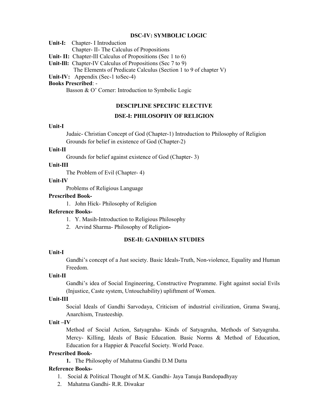#### **DSC-IV: SYMBOLIC LOGIC**

**Unit-I:** Chapter- I Introduction

Chapter- II- The Calculus of Propositions

**Unit- II:** Chapter-Ill Calculus of Propositions (Sec 1 to 6)

**Unit-Ill:** Chapter-IV Calculus of Propositions (Sec 7 to 9)

The Elements of Predicate Calculus (Section 1 to 9 of chapter V)

Unit-IV: Appendix (Sec-1 toSec-4)

## **Books Prescribed**: -

Basson & O' Corner: Introduction to Symbolic Logic

#### **DESCIPLINE SPECIFIC ELECTIVE**

#### **DSE-I: PHILOSOPHY OF RELIGION**

## **Unit-I**

Judaic- Christian Concept of God (Chapter-1) Introduction to Philosophy of Religion Grounds for belief in existence of God (Chapter-2)

#### **Unit-II**

Grounds for belief against existence of God (Chapter- 3)

#### **Unit-III**

The Problem of Evil (Chapter- 4)

#### **Unit-IV**

Problems of Religious Language

#### **Prescribed Book-**

1. John Hick- Philosophy of Religion

#### **Reference Books-**

- 1. Y. Masih-Introduction to Religious Philosophy
- 2. Arvind Sharma- Philosophy of Religion**-**

#### **DSE-II: GANDHIAN STUDIES**

#### **Unit-I**

Gandhi's concept of a Just society. Basic Ideals-Truth, Non-violence, Equality and Human Freedom.

#### **Unit-II**

Gandhi's idea of Social Engineering, Constructive Programme. Fight against social Evils (Injustice, Caste system, Untouchability) upliftment of Women.

# **Unit-III**

Social Ideals of Gandhi Sarvodaya, Criticism of industrial civilization, Grama Swaraj, Anarchism, Trusteeship.

#### **Unit –IV**

Method of Social Action, Satyagraha- Kinds of Satyagraha, Methods of Satyagraha. Mercy- Killing, Ideals of Basic Education. Basic Norms & Method of Education, Education for a Happier & Peaceful Society. World Peace.

#### **Prescribed Book-**

**1.** The Philosophy of Mahatma Gandhi D.M Datta

#### **Reference Books-**

- 1. Social & Political Thought of M.K. Gandhi- Jaya Tanuja Bandopadhyay
- 2. Mahatma Gandhi- R.R. Diwakar